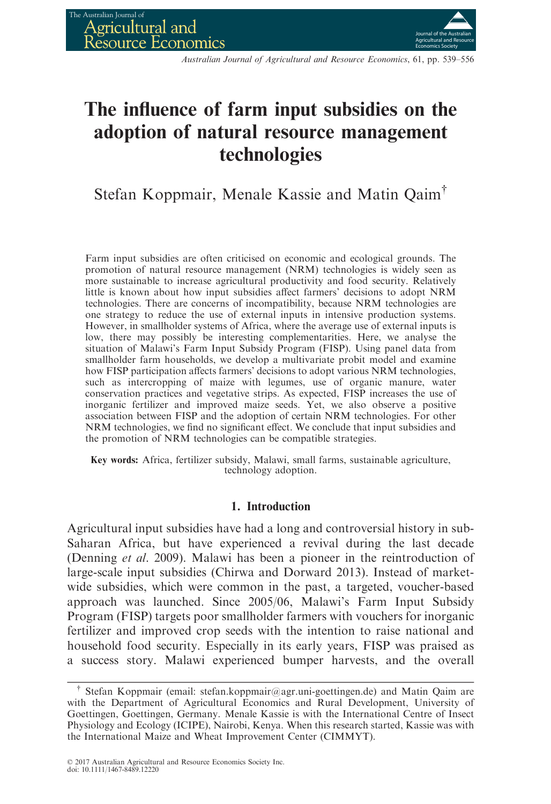

Australian Journal of Agricultural and Resource Economics, 61, pp. 539–556

# The influence of farm input subsidies on the adoption of natural resource management technologies

Stefan Koppmair, Menale Kassie and Matin Qaim†

Farm input subsidies are often criticised on economic and ecological grounds. The promotion of natural resource management (NRM) technologies is widely seen as more sustainable to increase agricultural productivity and food security. Relatively little is known about how input subsidies affect farmers' decisions to adopt NRM technologies. There are concerns of incompatibility, because NRM technologies are one strategy to reduce the use of external inputs in intensive production systems. However, in smallholder systems of Africa, where the average use of external inputs is low, there may possibly be interesting complementarities. Here, we analyse the situation of Malawi's Farm Input Subsidy Program (FISP). Using panel data from smallholder farm households, we develop a multivariate probit model and examine how FISP participation affects farmers' decisions to adopt various NRM technologies, such as intercropping of maize with legumes, use of organic manure, water conservation practices and vegetative strips. As expected, FISP increases the use of inorganic fertilizer and improved maize seeds. Yet, we also observe a positive association between FISP and the adoption of certain NRM technologies. For other NRM technologies, we find no significant effect. We conclude that input subsidies and the promotion of NRM technologies can be compatible strategies.

Key words: Africa, fertilizer subsidy, Malawi, small farms, sustainable agriculture, technology adoption.

# 1. Introduction

Agricultural input subsidies have had a long and controversial history in sub-Saharan Africa, but have experienced a revival during the last decade (Denning et al. 2009). Malawi has been a pioneer in the reintroduction of large-scale input subsidies (Chirwa and Dorward 2013). Instead of marketwide subsidies, which were common in the past, a targeted, voucher-based approach was launched. Since 2005/06, Malawi's Farm Input Subsidy Program (FISP) targets poor smallholder farmers with vouchers for inorganic fertilizer and improved crop seeds with the intention to raise national and household food security. Especially in its early years, FISP was praised as a success story. Malawi experienced bumper harvests, and the overall

<sup>&</sup>lt;sup>†</sup> Stefan Koppmair (email: stefan.koppmair@agr.uni-goettingen.de) and Matin Qaim are with the Department of Agricultural Economics and Rural Development, University of Goettingen, Goettingen, Germany. Menale Kassie is with the International Centre of Insect Physiology and Ecology (ICIPE), Nairobi, Kenya. When this research started, Kassie was with the International Maize and Wheat Improvement Center (CIMMYT).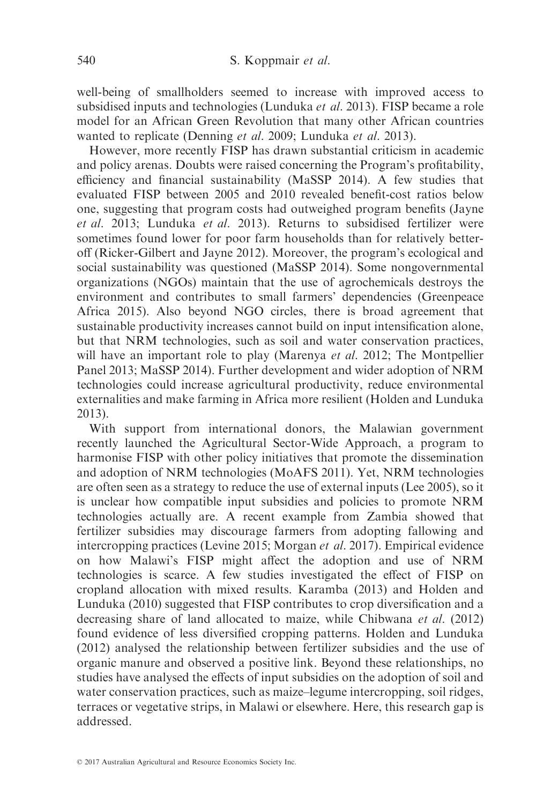well-being of smallholders seemed to increase with improved access to subsidised inputs and technologies (Lunduka et al. 2013). FISP became a role model for an African Green Revolution that many other African countries wanted to replicate (Denning *et al.* 2009; Lunduka *et al.* 2013).

However, more recently FISP has drawn substantial criticism in academic and policy arenas. Doubts were raised concerning the Program's profitability, efficiency and financial sustainability (MaSSP 2014). A few studies that evaluated FISP between 2005 and 2010 revealed benefit-cost ratios below one, suggesting that program costs had outweighed program benefits (Jayne et al. 2013; Lunduka et al. 2013). Returns to subsidised fertilizer were sometimes found lower for poor farm households than for relatively betteroff (Ricker-Gilbert and Jayne 2012). Moreover, the program's ecological and social sustainability was questioned (MaSSP 2014). Some nongovernmental organizations (NGOs) maintain that the use of agrochemicals destroys the environment and contributes to small farmers' dependencies (Greenpeace Africa 2015). Also beyond NGO circles, there is broad agreement that sustainable productivity increases cannot build on input intensification alone, but that NRM technologies, such as soil and water conservation practices, will have an important role to play (Marenya et al. 2012; The Montpellier Panel 2013; MaSSP 2014). Further development and wider adoption of NRM technologies could increase agricultural productivity, reduce environmental externalities and make farming in Africa more resilient (Holden and Lunduka 2013).

With support from international donors, the Malawian government recently launched the Agricultural Sector-Wide Approach, a program to harmonise FISP with other policy initiatives that promote the dissemination and adoption of NRM technologies (MoAFS 2011). Yet, NRM technologies are often seen as a strategy to reduce the use of external inputs (Lee 2005), so it is unclear how compatible input subsidies and policies to promote NRM technologies actually are. A recent example from Zambia showed that fertilizer subsidies may discourage farmers from adopting fallowing and intercropping practices (Levine 2015; Morgan et al. 2017). Empirical evidence on how Malawi's FISP might affect the adoption and use of NRM technologies is scarce. A few studies investigated the effect of FISP on cropland allocation with mixed results. Karamba (2013) and Holden and Lunduka (2010) suggested that FISP contributes to crop diversification and a decreasing share of land allocated to maize, while Chibwana et al. (2012) found evidence of less diversified cropping patterns. Holden and Lunduka (2012) analysed the relationship between fertilizer subsidies and the use of organic manure and observed a positive link. Beyond these relationships, no studies have analysed the effects of input subsidies on the adoption of soil and water conservation practices, such as maize–legume intercropping, soil ridges, terraces or vegetative strips, in Malawi or elsewhere. Here, this research gap is addressed.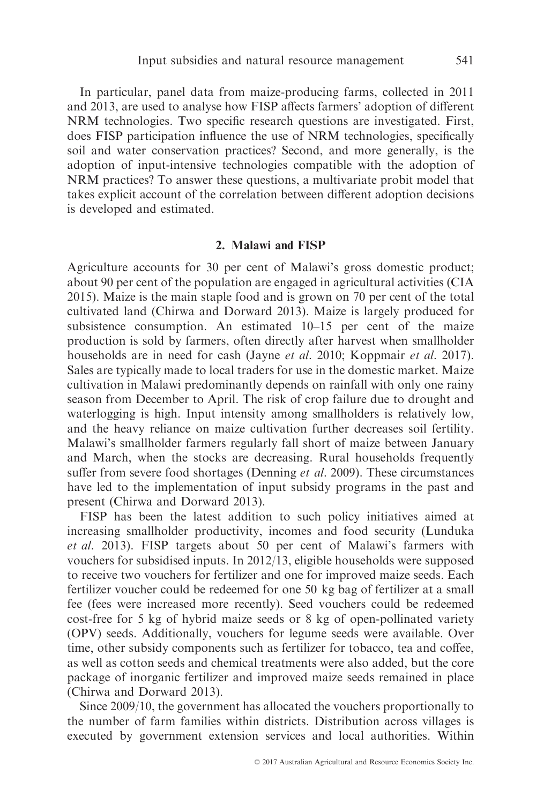In particular, panel data from maize-producing farms, collected in 2011 and 2013, are used to analyse how FISP affects farmers' adoption of different NRM technologies. Two specific research questions are investigated. First, does FISP participation influence the use of NRM technologies, specifically soil and water conservation practices? Second, and more generally, is the adoption of input-intensive technologies compatible with the adoption of NRM practices? To answer these questions, a multivariate probit model that takes explicit account of the correlation between different adoption decisions is developed and estimated.

# 2. Malawi and FISP

Agriculture accounts for 30 per cent of Malawi's gross domestic product; about 90 per cent of the population are engaged in agricultural activities (CIA 2015). Maize is the main staple food and is grown on 70 per cent of the total cultivated land (Chirwa and Dorward 2013). Maize is largely produced for subsistence consumption. An estimated 10–15 per cent of the maize production is sold by farmers, often directly after harvest when smallholder households are in need for cash (Jayne *et al.* 2010; Koppmair *et al.* 2017). Sales are typically made to local traders for use in the domestic market. Maize cultivation in Malawi predominantly depends on rainfall with only one rainy season from December to April. The risk of crop failure due to drought and waterlogging is high. Input intensity among smallholders is relatively low, and the heavy reliance on maize cultivation further decreases soil fertility. Malawi's smallholder farmers regularly fall short of maize between January and March, when the stocks are decreasing. Rural households frequently suffer from severe food shortages (Denning *et al.* 2009). These circumstances have led to the implementation of input subsidy programs in the past and present (Chirwa and Dorward 2013).

FISP has been the latest addition to such policy initiatives aimed at increasing smallholder productivity, incomes and food security (Lunduka et al. 2013). FISP targets about 50 per cent of Malawi's farmers with vouchers for subsidised inputs. In 2012/13, eligible households were supposed to receive two vouchers for fertilizer and one for improved maize seeds. Each fertilizer voucher could be redeemed for one 50 kg bag of fertilizer at a small fee (fees were increased more recently). Seed vouchers could be redeemed cost-free for 5 kg of hybrid maize seeds or 8 kg of open-pollinated variety (OPV) seeds. Additionally, vouchers for legume seeds were available. Over time, other subsidy components such as fertilizer for tobacco, tea and coffee, as well as cotton seeds and chemical treatments were also added, but the core package of inorganic fertilizer and improved maize seeds remained in place (Chirwa and Dorward 2013).

Since 2009/10, the government has allocated the vouchers proportionally to the number of farm families within districts. Distribution across villages is executed by government extension services and local authorities. Within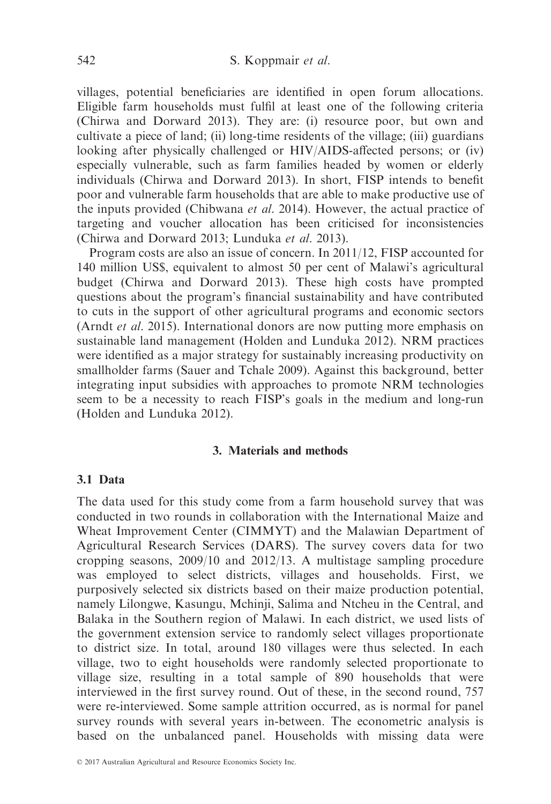villages, potential beneficiaries are identified in open forum allocations. Eligible farm households must fulfil at least one of the following criteria (Chirwa and Dorward 2013). They are: (i) resource poor, but own and cultivate a piece of land; (ii) long-time residents of the village; (iii) guardians looking after physically challenged or HIV/AIDS-affected persons; or (iv) especially vulnerable, such as farm families headed by women or elderly individuals (Chirwa and Dorward 2013). In short, FISP intends to benefit poor and vulnerable farm households that are able to make productive use of the inputs provided (Chibwana et al. 2014). However, the actual practice of targeting and voucher allocation has been criticised for inconsistencies (Chirwa and Dorward 2013; Lunduka et al. 2013).

Program costs are also an issue of concern. In 2011/12, FISP accounted for 140 million US\$, equivalent to almost 50 per cent of Malawi's agricultural budget (Chirwa and Dorward 2013). These high costs have prompted questions about the program's financial sustainability and have contributed to cuts in the support of other agricultural programs and economic sectors (Arndt et al. 2015). International donors are now putting more emphasis on sustainable land management (Holden and Lunduka 2012). NRM practices were identified as a major strategy for sustainably increasing productivity on smallholder farms (Sauer and Tchale 2009). Against this background, better integrating input subsidies with approaches to promote NRM technologies seem to be a necessity to reach FISP's goals in the medium and long-run (Holden and Lunduka 2012).

## 3. Materials and methods

## 3.1 Data

The data used for this study come from a farm household survey that was conducted in two rounds in collaboration with the International Maize and Wheat Improvement Center (CIMMYT) and the Malawian Department of Agricultural Research Services (DARS). The survey covers data for two cropping seasons, 2009/10 and 2012/13. A multistage sampling procedure was employed to select districts, villages and households. First, we purposively selected six districts based on their maize production potential, namely Lilongwe, Kasungu, Mchinji, Salima and Ntcheu in the Central, and Balaka in the Southern region of Malawi. In each district, we used lists of the government extension service to randomly select villages proportionate to district size. In total, around 180 villages were thus selected. In each village, two to eight households were randomly selected proportionate to village size, resulting in a total sample of 890 households that were interviewed in the first survey round. Out of these, in the second round, 757 were re-interviewed. Some sample attrition occurred, as is normal for panel survey rounds with several years in-between. The econometric analysis is based on the unbalanced panel. Households with missing data were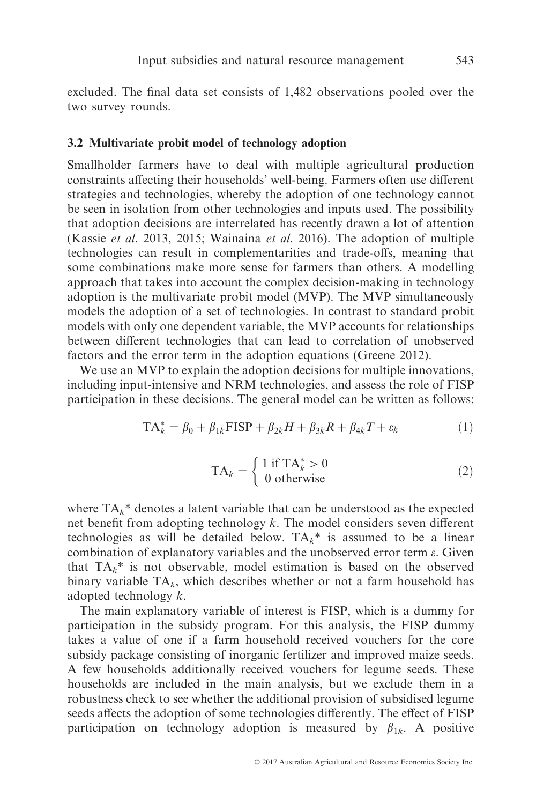excluded. The final data set consists of 1,482 observations pooled over the two survey rounds.

## 3.2 Multivariate probit model of technology adoption

Smallholder farmers have to deal with multiple agricultural production constraints affecting their households' well-being. Farmers often use different strategies and technologies, whereby the adoption of one technology cannot be seen in isolation from other technologies and inputs used. The possibility that adoption decisions are interrelated has recently drawn a lot of attention (Kassie et al. 2013, 2015; Wainaina et al. 2016). The adoption of multiple technologies can result in complementarities and trade-offs, meaning that some combinations make more sense for farmers than others. A modelling approach that takes into account the complex decision-making in technology adoption is the multivariate probit model (MVP). The MVP simultaneously models the adoption of a set of technologies. In contrast to standard probit models with only one dependent variable, the MVP accounts for relationships between different technologies that can lead to correlation of unobserved factors and the error term in the adoption equations (Greene 2012).

We use an MVP to explain the adoption decisions for multiple innovations, including input-intensive and NRM technologies, and assess the role of FISP participation in these decisions. The general model can be written as follows:

$$
TA_k^* = \beta_0 + \beta_{1k} \text{FISP} + \beta_{2k} H + \beta_{3k} R + \beta_{4k} T + \varepsilon_k \tag{1}
$$

$$
TA_k = \begin{cases} 1 \text{ if } TA_k^* > 0\\ 0 \text{ otherwise} \end{cases}
$$
 (2)

where  $TA_k^*$  denotes a latent variable that can be understood as the expected net benefit from adopting technology  $k$ . The model considers seven different technologies as will be detailed below.  $TA_k^*$  is assumed to be a linear combination of explanatory variables and the unobserved error term  $\varepsilon$ . Given that  $TA_k^*$  is not observable, model estimation is based on the observed binary variable  $TA_k$ , which describes whether or not a farm household has adopted technology k.

The main explanatory variable of interest is FISP, which is a dummy for participation in the subsidy program. For this analysis, the FISP dummy takes a value of one if a farm household received vouchers for the core subsidy package consisting of inorganic fertilizer and improved maize seeds. A few households additionally received vouchers for legume seeds. These households are included in the main analysis, but we exclude them in a robustness check to see whether the additional provision of subsidised legume seeds affects the adoption of some technologies differently. The effect of FISP participation on technology adoption is measured by  $\beta_{1k}$ . A positive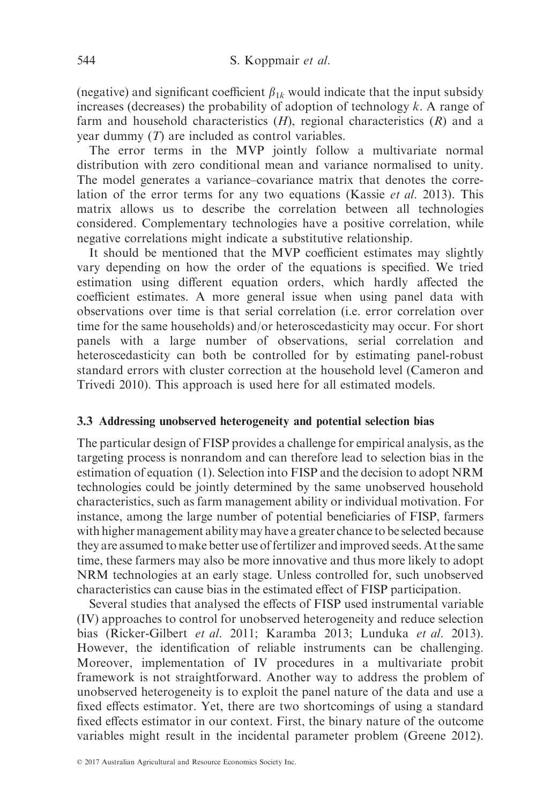(negative) and significant coefficient  $\beta_{1k}$  would indicate that the input subsidy increases (decreases) the probability of adoption of technology  $k$ . A range of farm and household characteristics  $(H)$ , regional characteristics  $(R)$  and a year dummy (T) are included as control variables.

The error terms in the MVP jointly follow a multivariate normal distribution with zero conditional mean and variance normalised to unity. The model generates a variance–covariance matrix that denotes the correlation of the error terms for any two equations (Kassie et al. 2013). This matrix allows us to describe the correlation between all technologies considered. Complementary technologies have a positive correlation, while negative correlations might indicate a substitutive relationship.

It should be mentioned that the MVP coefficient estimates may slightly vary depending on how the order of the equations is specified. We tried estimation using different equation orders, which hardly affected the coefficient estimates. A more general issue when using panel data with observations over time is that serial correlation (i.e. error correlation over time for the same households) and/or heteroscedasticity may occur. For short panels with a large number of observations, serial correlation and heteroscedasticity can both be controlled for by estimating panel-robust standard errors with cluster correction at the household level (Cameron and Trivedi 2010). This approach is used here for all estimated models.

## 3.3 Addressing unobserved heterogeneity and potential selection bias

The particular design of FISP provides a challenge for empirical analysis, as the targeting process is nonrandom and can therefore lead to selection bias in the estimation of equation (1). Selection into FISP and the decision to adopt NRM technologies could be jointly determined by the same unobserved household characteristics, such as farm management ability or individual motivation. For instance, among the large number of potential beneficiaries of FISP, farmers with higher management ability may have a greater chance to be selected because they are assumed to make better use of fertilizer and improved seeds. At the same time, these farmers may also be more innovative and thus more likely to adopt NRM technologies at an early stage. Unless controlled for, such unobserved characteristics can cause bias in the estimated effect of FISP participation.

Several studies that analysed the effects of FISP used instrumental variable (IV) approaches to control for unobserved heterogeneity and reduce selection bias (Ricker-Gilbert et al. 2011; Karamba 2013; Lunduka et al. 2013). However, the identification of reliable instruments can be challenging. Moreover, implementation of IV procedures in a multivariate probit framework is not straightforward. Another way to address the problem of unobserved heterogeneity is to exploit the panel nature of the data and use a fixed effects estimator. Yet, there are two shortcomings of using a standard fixed effects estimator in our context. First, the binary nature of the outcome variables might result in the incidental parameter problem (Greene 2012).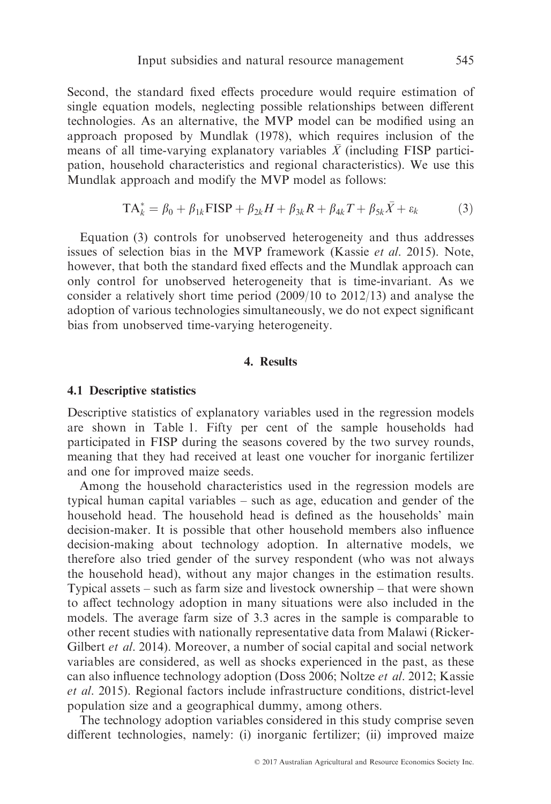Second, the standard fixed effects procedure would require estimation of single equation models, neglecting possible relationships between different technologies. As an alternative, the MVP model can be modified using an approach proposed by Mundlak (1978), which requires inclusion of the means of all time-varying explanatory variables  $\overline{X}$  (including FISP participation, household characteristics and regional characteristics). We use this Mundlak approach and modify the MVP model as follows:

$$
TA_k^* = \beta_0 + \beta_{1k} \text{FISP} + \beta_{2k} H + \beta_{3k} R + \beta_{4k} T + \beta_{5k} \bar{X} + \varepsilon_k \tag{3}
$$

Equation (3) controls for unobserved heterogeneity and thus addresses issues of selection bias in the MVP framework (Kassie et al. 2015). Note, however, that both the standard fixed effects and the Mundlak approach can only control for unobserved heterogeneity that is time-invariant. As we consider a relatively short time period (2009/10 to 2012/13) and analyse the adoption of various technologies simultaneously, we do not expect significant bias from unobserved time-varying heterogeneity.

## 4. Results

## 4.1 Descriptive statistics

Descriptive statistics of explanatory variables used in the regression models are shown in Table 1. Fifty per cent of the sample households had participated in FISP during the seasons covered by the two survey rounds, meaning that they had received at least one voucher for inorganic fertilizer and one for improved maize seeds.

Among the household characteristics used in the regression models are typical human capital variables – such as age, education and gender of the household head. The household head is defined as the households' main decision-maker. It is possible that other household members also influence decision-making about technology adoption. In alternative models, we therefore also tried gender of the survey respondent (who was not always the household head), without any major changes in the estimation results. Typical assets – such as farm size and livestock ownership – that were shown to affect technology adoption in many situations were also included in the models. The average farm size of 3.3 acres in the sample is comparable to other recent studies with nationally representative data from Malawi (Ricker-Gilbert et al. 2014). Moreover, a number of social capital and social network variables are considered, as well as shocks experienced in the past, as these can also influence technology adoption (Doss 2006; Noltze et al. 2012; Kassie et al. 2015). Regional factors include infrastructure conditions, district-level population size and a geographical dummy, among others.

The technology adoption variables considered in this study comprise seven different technologies, namely: (i) inorganic fertilizer; (ii) improved maize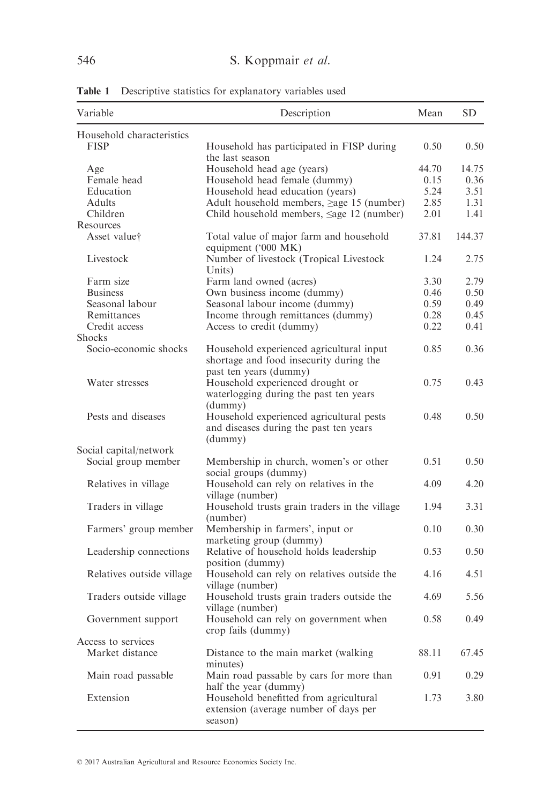| Variable                  | Description                                                                                                   | Mean  | <b>SD</b> |
|---------------------------|---------------------------------------------------------------------------------------------------------------|-------|-----------|
| Household characteristics |                                                                                                               |       |           |
| <b>FISP</b>               | Household has participated in FISP during<br>the last season                                                  | 0.50  | 0.50      |
| Age                       | Household head age (years)                                                                                    | 44.70 | 14.75     |
| Female head               | Household head female (dummy)                                                                                 | 0.15  | 0.36      |
| Education                 | Household head education (years)                                                                              | 5.24  | 3.51      |
| Adults                    | Adult household members, $\geq$ age 15 (number)                                                               | 2.85  | 1.31      |
| Children                  | Child household members, $\leq$ age 12 (number)                                                               | 2.01  | 1.41      |
| Resources                 |                                                                                                               |       |           |
| Asset value†              | Total value of major farm and household<br>equipment ('000 MK)                                                | 37.81 | 144.37    |
| Livestock                 | Number of livestock (Tropical Livestock<br>Units)                                                             | 1.24  | 2.75      |
| Farm size                 | Farm land owned (acres)                                                                                       | 3.30  | 2.79      |
| <b>Business</b>           | Own business income (dummy)                                                                                   | 0.46  | 0.50      |
| Seasonal labour           | Seasonal labour income (dummy)                                                                                | 0.59  | 0.49      |
| Remittances               | Income through remittances (dummy)                                                                            | 0.28  | 0.45      |
| Credit access             | Access to credit (dummy)                                                                                      | 0.22  | 0.41      |
| <b>Shocks</b>             |                                                                                                               |       |           |
| Socio-economic shocks     | Household experienced agricultural input<br>shortage and food insecurity during the<br>past ten years (dummy) | 0.85  | 0.36      |
| Water stresses            | Household experienced drought or<br>waterlogging during the past ten years                                    | 0.75  | 0.43      |
| Pests and diseases        | (dummy)<br>Household experienced agricultural pests<br>and diseases during the past ten years<br>(dummy)      | 0.48  | 0.50      |
| Social capital/network    |                                                                                                               |       |           |
| Social group member       | Membership in church, women's or other<br>social groups (dummy)                                               | 0.51  | 0.50      |
| Relatives in village      | Household can rely on relatives in the<br>village (number)                                                    | 4.09  | 4.20      |
| Traders in village        | Household trusts grain traders in the village<br>(number)                                                     | 1.94  | 3.31      |
| Farmers' group member     | Membership in farmers', input or<br>marketing group (dummy)                                                   | 0.10  | 0.30      |
| Leadership connections    | Relative of household holds leadership<br>position (dummy)                                                    | 0.53  | 0.50      |
| Relatives outside village | Household can rely on relatives outside the<br>village (number)                                               | 4.16  | 4.51      |
| Traders outside village   | Household trusts grain traders outside the<br>village (number)                                                | 4.69  | 5.56      |
| Government support        | Household can rely on government when<br>crop fails (dummy)                                                   | 0.58  | 0.49      |
| Access to services        |                                                                                                               |       |           |
| Market distance           | Distance to the main market (walking<br>minutes)                                                              | 88.11 | 67.45     |
| Main road passable        | Main road passable by cars for more than<br>half the year (dummy)                                             | 0.91  | 0.29      |
| Extension                 | Household benefitted from agricultural<br>extension (average number of days per<br>season)                    | 1.73  | 3.80      |

Table 1 Descriptive statistics for explanatory variables used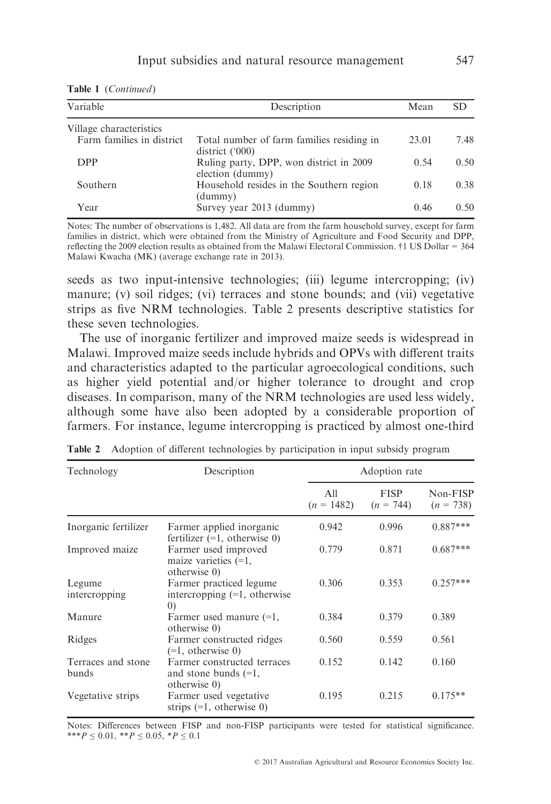|  | Table 1 (Continued) |  |
|--|---------------------|--|
|--|---------------------|--|

| Variable                  | Description                                                  | Mean  | SD   |
|---------------------------|--------------------------------------------------------------|-------|------|
| Village characteristics   |                                                              |       |      |
| Farm families in district | Total number of farm families residing in<br>district ('000) | 23.01 | 7.48 |
| <b>DPP</b>                | Ruling party, DPP, won district in 2009<br>election (dummy)  | 0.54  | 0.50 |
| Southern                  | Household resides in the Southern region<br>(dummy)          | 0.18  | 0.38 |
| Year                      | Survey year 2013 (dummy)                                     | 0.46  | 0.50 |

Notes: The number of observations is 1,482. All data are from the farm household survey, except for farm families in district, which were obtained from the Ministry of Agriculture and Food Security and DPP, reflecting the 2009 election results as obtained from the Malawi Electoral Commission. †1 US Dollar = 364 Malawi Kwacha (MK) (average exchange rate in 2013).

seeds as two input-intensive technologies; (iii) legume intercropping; (iv) manure; (v) soil ridges; (vi) terraces and stone bounds; and (vii) vegetative strips as five NRM technologies. Table 2 presents descriptive statistics for these seven technologies.

The use of inorganic fertilizer and improved maize seeds is widespread in Malawi. Improved maize seeds include hybrids and OPVs with different traits and characteristics adapted to the particular agroecological conditions, such as higher yield potential and/or higher tolerance to drought and crop diseases. In comparison, many of the NRM technologies are used less widely, although some have also been adopted by a considerable proportion of farmers. For instance, legume intercropping is practiced by almost one-third

| Technology                  | Description                                                                       |                     | Adoption rate              |                         |
|-----------------------------|-----------------------------------------------------------------------------------|---------------------|----------------------------|-------------------------|
|                             |                                                                                   | A11<br>$(n = 1482)$ | <b>FISP</b><br>$(n = 744)$ | Non-FISP<br>$(n = 738)$ |
| Inorganic fertilizer        | Farmer applied inorganic<br>fertilizer $(=1, 0)$ , otherwise 0)                   | 0.942               | 0.996                      | $0.887***$              |
| Improved maize              | Farmer used improved<br>maize varieties $(=1,$<br>otherwise 0)                    | 0.779               | 0.871                      | $0.687***$              |
| Legume<br>intercropping     | Farmer practiced legume<br>intercropping $(=1, 0)$ otherwise<br>$\left( 0\right)$ | 0.306               | 0.353                      | $0.257***$              |
| Manure                      | Farmer used manure $(=1,$<br>otherwise 0)                                         | 0.384               | 0.379                      | 0.389                   |
| Ridges                      | Farmer constructed ridges<br>$(=1,$ otherwise 0)                                  | 0.560               | 0.559                      | 0.561                   |
| Terraces and stone<br>bunds | Farmer constructed terraces<br>and stone bunds $(=1,$<br>otherwise 0)             | 0.152               | 0.142                      | 0.160                   |
| Vegetative strips           | Farmer used vegetative<br>strips $(=1, 0)$ otherwise 0)                           | 0.195               | 0.215                      | $0.175**$               |

Table 2 Adoption of different technologies by participation in input subsidy program

Notes: Differences between FISP and non-FISP participants were tested for statistical significance. \*\*\* $P \le 0.01$ , \*\* $P \le 0.05$ , \* $P \le 0.1$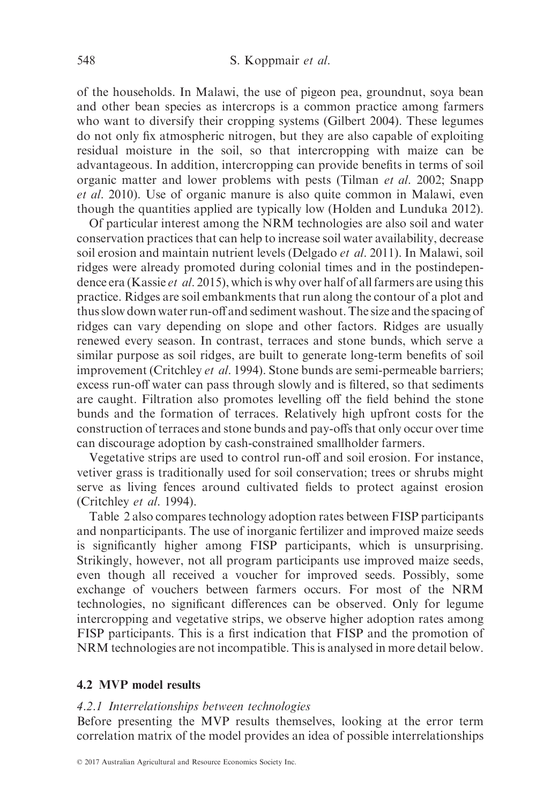#### 548 S. Koppmair et al.

of the households. In Malawi, the use of pigeon pea, groundnut, soya bean and other bean species as intercrops is a common practice among farmers who want to diversify their cropping systems (Gilbert 2004). These legumes do not only fix atmospheric nitrogen, but they are also capable of exploiting residual moisture in the soil, so that intercropping with maize can be advantageous. In addition, intercropping can provide benefits in terms of soil organic matter and lower problems with pests (Tilman et al. 2002; Snapp et al. 2010). Use of organic manure is also quite common in Malawi, even though the quantities applied are typically low (Holden and Lunduka 2012).

Of particular interest among the NRM technologies are also soil and water conservation practices that can help to increase soil water availability, decrease soil erosion and maintain nutrient levels (Delgado et al. 2011). In Malawi, soil ridges were already promoted during colonial times and in the postindependence era (Kassie et al. 2015), which is why over half of all farmers are using this practice. Ridges are soil embankments that run along the contour of a plot and thus slow down water run-off and sediment washout. The size and the spacing of ridges can vary depending on slope and other factors. Ridges are usually renewed every season. In contrast, terraces and stone bunds, which serve a similar purpose as soil ridges, are built to generate long-term benefits of soil improvement (Critchley et al. 1994). Stone bunds are semi-permeable barriers; excess run-off water can pass through slowly and is filtered, so that sediments are caught. Filtration also promotes levelling off the field behind the stone bunds and the formation of terraces. Relatively high upfront costs for the construction of terraces and stone bunds and pay-offs that only occur over time can discourage adoption by cash-constrained smallholder farmers.

Vegetative strips are used to control run-off and soil erosion. For instance, vetiver grass is traditionally used for soil conservation; trees or shrubs might serve as living fences around cultivated fields to protect against erosion (Critchley et al. 1994).

Table 2 also compares technology adoption rates between FISP participants and nonparticipants. The use of inorganic fertilizer and improved maize seeds is significantly higher among FISP participants, which is unsurprising. Strikingly, however, not all program participants use improved maize seeds, even though all received a voucher for improved seeds. Possibly, some exchange of vouchers between farmers occurs. For most of the NRM technologies, no significant differences can be observed. Only for legume intercropping and vegetative strips, we observe higher adoption rates among FISP participants. This is a first indication that FISP and the promotion of NRM technologies are not incompatible. This is analysed in more detail below.

# 4.2 MVP model results

#### 4.2.1 Interrelationships between technologies

Before presenting the MVP results themselves, looking at the error term correlation matrix of the model provides an idea of possible interrelationships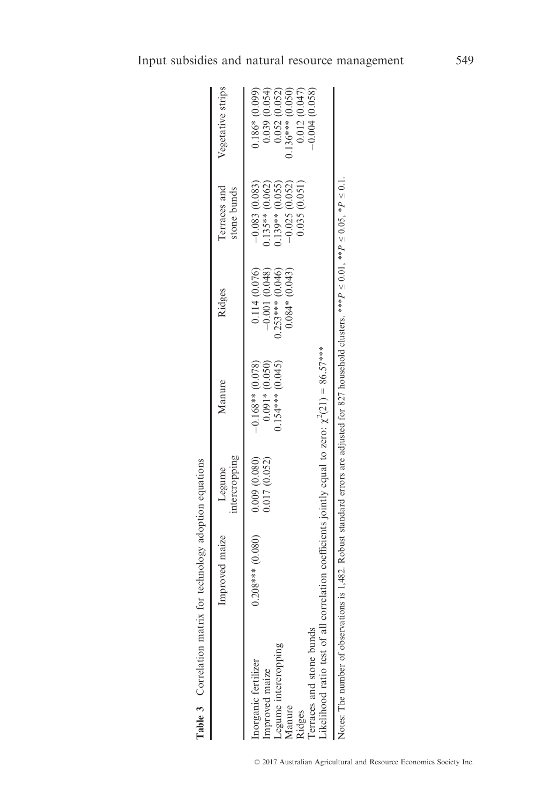|                                                            |                                                  | Table 3 Correlation matrix for technology adoption equations                                                                |                                                                   |                                                              |                                                                                                                        |                                                                                              |                                                                                                          |
|------------------------------------------------------------|--------------------------------------------------|-----------------------------------------------------------------------------------------------------------------------------|-------------------------------------------------------------------|--------------------------------------------------------------|------------------------------------------------------------------------------------------------------------------------|----------------------------------------------------------------------------------------------|----------------------------------------------------------------------------------------------------------|
|                                                            |                                                  | Improved maize                                                                                                              | intercropping<br>Legume                                           | Manure                                                       | Ridges                                                                                                                 | Terraces and<br>stone bunds                                                                  | Vegetative strips                                                                                        |
| Inorganic fertilizer<br>Improved maize<br>Manure<br>Ridges | Terraces and stone bunds<br>Legume intercropping | Likelihood ratio test of all correlation coefficients jointly equal to zero: $\chi^2(21) = 86.57$ ***<br>$0.208***$ (0.080) | $\begin{array}{c} 0.009 & (0.080) \\ 0.017 & (0.052) \end{array}$ | $0.091*$ (0.050)<br>$0.154***$ (0.045)<br>$-0.168**$ (0.078) | 0.114(0.076)<br>$0.253***$ (0.046)<br>$0.084*(0.043)$<br>$-0.001(0.048)$                                               | 0.035(0.051)<br>$0.135**$ (0.062)<br>$0.139**$ (0.055)<br>$-0.025(0.052)$<br>$-0.083(0.083)$ | $.136***$ (0.050)<br>$0.186*(0.099)$<br>0.039 (0.054)<br>0.052(0.052)<br>0.012(0.047)<br>$-0.004(0.058)$ |
|                                                            | Notes: The number of observations is             |                                                                                                                             |                                                                   |                                                              | 1,482. Robust standard errors are adjusted for 827 household clusters. *** $P \le 0.01$ , ** $P \le 0.1$ , $P \le 0.1$ |                                                                                              |                                                                                                          |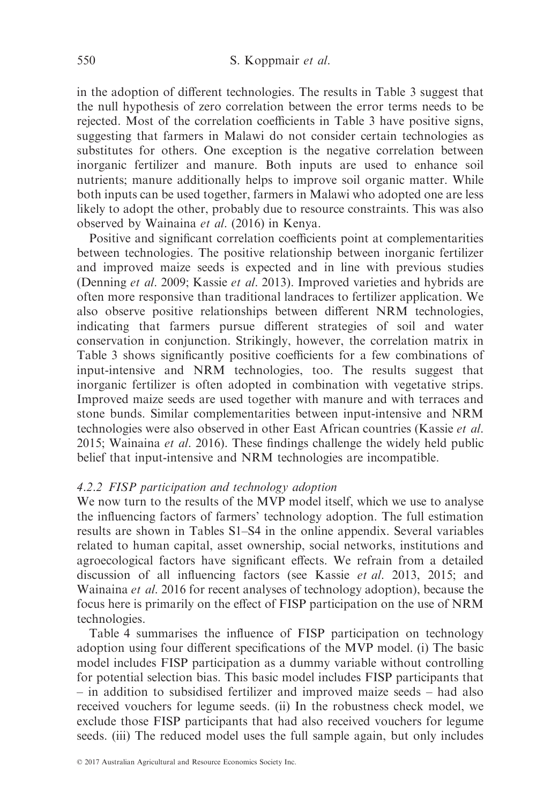in the adoption of different technologies. The results in Table 3 suggest that the null hypothesis of zero correlation between the error terms needs to be rejected. Most of the correlation coefficients in Table 3 have positive signs, suggesting that farmers in Malawi do not consider certain technologies as substitutes for others. One exception is the negative correlation between inorganic fertilizer and manure. Both inputs are used to enhance soil nutrients; manure additionally helps to improve soil organic matter. While both inputs can be used together, farmers in Malawi who adopted one are less likely to adopt the other, probably due to resource constraints. This was also observed by Wainaina et al. (2016) in Kenya.

Positive and significant correlation coefficients point at complementarities between technologies. The positive relationship between inorganic fertilizer and improved maize seeds is expected and in line with previous studies (Denning et al. 2009; Kassie et al. 2013). Improved varieties and hybrids are often more responsive than traditional landraces to fertilizer application. We also observe positive relationships between different NRM technologies, indicating that farmers pursue different strategies of soil and water conservation in conjunction. Strikingly, however, the correlation matrix in Table 3 shows significantly positive coefficients for a few combinations of input-intensive and NRM technologies, too. The results suggest that inorganic fertilizer is often adopted in combination with vegetative strips. Improved maize seeds are used together with manure and with terraces and stone bunds. Similar complementarities between input-intensive and NRM technologies were also observed in other East African countries (Kassie et al. 2015; Wainaina et al. 2016). These findings challenge the widely held public belief that input-intensive and NRM technologies are incompatible.

## 4.2.2 FISP participation and technology adoption

We now turn to the results of the MVP model itself, which we use to analyse the influencing factors of farmers' technology adoption. The full estimation results are shown in Tables S1–S4 in the online appendix. Several variables related to human capital, asset ownership, social networks, institutions and agroecological factors have significant effects. We refrain from a detailed discussion of all influencing factors (see Kassie et al. 2013, 2015; and Wainaina et al. 2016 for recent analyses of technology adoption), because the focus here is primarily on the effect of FISP participation on the use of NRM technologies.

Table 4 summarises the influence of FISP participation on technology adoption using four different specifications of the MVP model. (i) The basic model includes FISP participation as a dummy variable without controlling for potential selection bias. This basic model includes FISP participants that – in addition to subsidised fertilizer and improved maize seeds – had also received vouchers for legume seeds. (ii) In the robustness check model, we exclude those FISP participants that had also received vouchers for legume seeds. (iii) The reduced model uses the full sample again, but only includes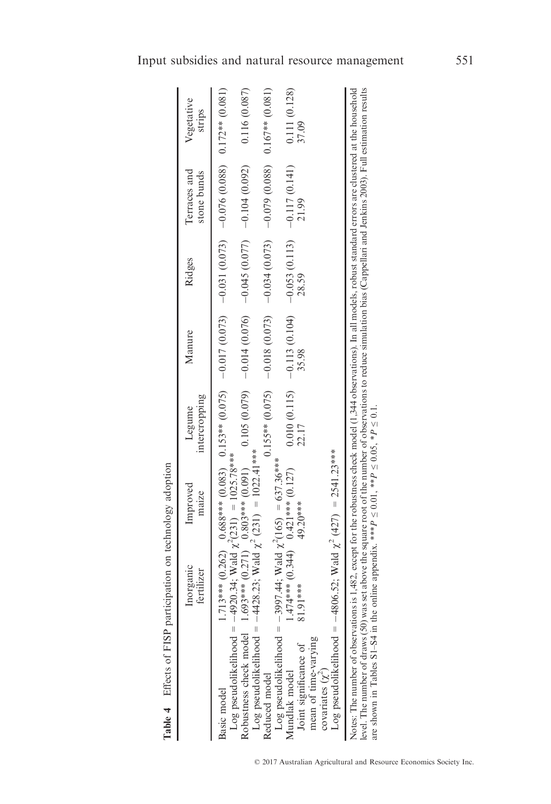| ۱,<br>ij                                                                                                         |
|------------------------------------------------------------------------------------------------------------------|
| こうしゃ こうしょう りょうしゃ<br>ì<br>l<br>֠<br>l                                                                             |
| $\lambda$ 0.0 $\mu$                                                                                              |
| <b>10.0 to 11.0 mm of the cost</b><br>J<br>í<br>ij<br>l<br>֧֦֦֦֧֧֧֧֧֧֛֚֚֚֚֚֚֚֚֚֚֚֚֚֚֝֝֝֝֝֝֝֝֝֝֝֝֝֝֝֟֝֟֝֟֝֬֝<br>í |
| りくしし<br>i                                                                                                        |
|                                                                                                                  |
| $\frac{1}{2}$<br>ì<br>d<br>r ar<br>ï<br>i                                                                        |
| İ<br>ı<br>ı                                                                                                      |

|                                                                                                                                                                                                                                                                                                                                                             | Inorganic<br>fertilizer                       | Improved<br>maize | intercropping<br>Legume | Manure | Ridges                                                                                                                                                                                                                                 | Terraces and<br>stone bunds | Vegetative<br>strips  |
|-------------------------------------------------------------------------------------------------------------------------------------------------------------------------------------------------------------------------------------------------------------------------------------------------------------------------------------------------------------|-----------------------------------------------|-------------------|-------------------------|--------|----------------------------------------------------------------------------------------------------------------------------------------------------------------------------------------------------------------------------------------|-----------------------------|-----------------------|
| Log pseudolikelihood = -4920.34; Wald $\chi^2(231)$ = 1025.78***<br>Basic model                                                                                                                                                                                                                                                                             |                                               |                   |                         |        |                                                                                                                                                                                                                                        |                             |                       |
| Robustness deck medic (0.070; 0.070; 0.070; 0.070; 0.070; 0.070; 0.070; 0.070; 0.070; 0.070; 0.070; 0.070; 0.070; 0.070; 0.070; 0.070; 0.070; 0.070; 0.070; 0.070; 0.070; 0.070; 0.070; 0.070; 0.070; 0.070; 0.070; 0.070; 0.0                                                                                                                              |                                               |                   |                         |        |                                                                                                                                                                                                                                        |                             | 0.116 (0.087)         |
| Log pseudolikelihood = $-4428.23$ ; Wald $\chi^2$ (231) = 1022.41***<br>Reduced model                                                                                                                                                                                                                                                                       |                                               |                   |                         |        | $(0.155** (0.075)$ (0.079 (0.073) - 0.073) - 0.070 (0.079) - 0.073) - 0.079 (0.079 (0.079) - 0.079 (0.079 (0.079 (0.079 (0.079 ) - 0.079 (0.079 ) - 0.079 (0.079 ) - 0.079 (0.079 ) - 0.079 (0.079 ) - 0.079 (0.079 ) - 0.079 (        |                             |                       |
| Log pseudolikelihood = -3997.44; Wald $\chi^2(165) = 637.36***$<br>Joint significance of<br>Mundlak model                                                                                                                                                                                                                                                   | $(0.127)$<br>$(0.34**21**21**10)$<br>81.91*** | 49.20***          | 22.17                   | 35.98  | $(0.115)$ -0.115 $(0.104)$ -0.13 $(0.1361013)$ -0.113 $(0.115)$ -0.115 $(0.115)$ -0.115 $(0.115)$ -0.115 $(0.115)$ -0.115 $(0.115)$ -0.115 $(0.115)$ -0.115 $(0.115)$ -0.115 $(0.115)$ -0.115 $(0.115)$ -0.115 $(0.115)$ -0.1<br>28.59 | 21.99                       | 0.111(0.128)<br>37.09 |
| mean of time-varying<br>covariates $(\chi^2)$                                                                                                                                                                                                                                                                                                               |                                               |                   |                         |        |                                                                                                                                                                                                                                        |                             |                       |
| Log pseudolikelihood = $-4806.52$ ; Wald $\chi^2$ (427) = 2541.23***                                                                                                                                                                                                                                                                                        |                                               |                   |                         |        |                                                                                                                                                                                                                                        |                             |                       |
| evel. The number of draws (50) was set above the square root of the number of observations to reduce simulation bias (Cappellari and Jenkins 2003). Full estimation results<br>Notes: The number of observations is 1,482, except for the robustness check model (1,344 observations). In all models, robust standard errors are clustered at the household |                                               |                   |                         |        |                                                                                                                                                                                                                                        |                             |                       |

are shown in Tables S1–S4 in the online appendix. \*\*\*

 $\overline{\phantom{a}}$  $P \leq 0.01$ , \*\*

 $\mathcal{L}$ 

 $P \leq 0.05$ , \* $P \leq 0.1$ .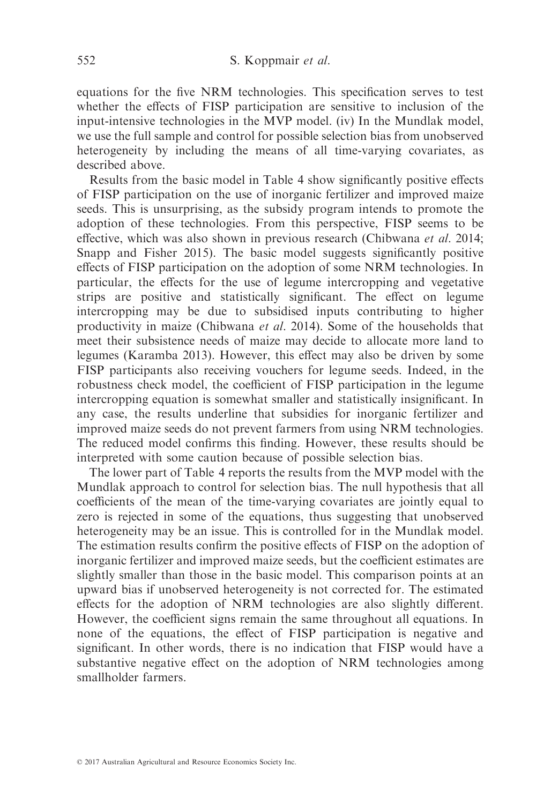equations for the five NRM technologies. This specification serves to test whether the effects of FISP participation are sensitive to inclusion of the input-intensive technologies in the MVP model. (iv) In the Mundlak model, we use the full sample and control for possible selection bias from unobserved heterogeneity by including the means of all time-varying covariates, as described above.

Results from the basic model in Table 4 show significantly positive effects of FISP participation on the use of inorganic fertilizer and improved maize seeds. This is unsurprising, as the subsidy program intends to promote the adoption of these technologies. From this perspective, FISP seems to be effective, which was also shown in previous research (Chibwana et al. 2014; Snapp and Fisher 2015). The basic model suggests significantly positive effects of FISP participation on the adoption of some NRM technologies. In particular, the effects for the use of legume intercropping and vegetative strips are positive and statistically significant. The effect on legume intercropping may be due to subsidised inputs contributing to higher productivity in maize (Chibwana et al. 2014). Some of the households that meet their subsistence needs of maize may decide to allocate more land to legumes (Karamba 2013). However, this effect may also be driven by some FISP participants also receiving vouchers for legume seeds. Indeed, in the robustness check model, the coefficient of FISP participation in the legume intercropping equation is somewhat smaller and statistically insignificant. In any case, the results underline that subsidies for inorganic fertilizer and improved maize seeds do not prevent farmers from using NRM technologies. The reduced model confirms this finding. However, these results should be interpreted with some caution because of possible selection bias.

The lower part of Table 4 reports the results from the MVP model with the Mundlak approach to control for selection bias. The null hypothesis that all coefficients of the mean of the time-varying covariates are jointly equal to zero is rejected in some of the equations, thus suggesting that unobserved heterogeneity may be an issue. This is controlled for in the Mundlak model. The estimation results confirm the positive effects of FISP on the adoption of inorganic fertilizer and improved maize seeds, but the coefficient estimates are slightly smaller than those in the basic model. This comparison points at an upward bias if unobserved heterogeneity is not corrected for. The estimated effects for the adoption of NRM technologies are also slightly different. However, the coefficient signs remain the same throughout all equations. In none of the equations, the effect of FISP participation is negative and significant. In other words, there is no indication that FISP would have a substantive negative effect on the adoption of NRM technologies among smallholder farmers.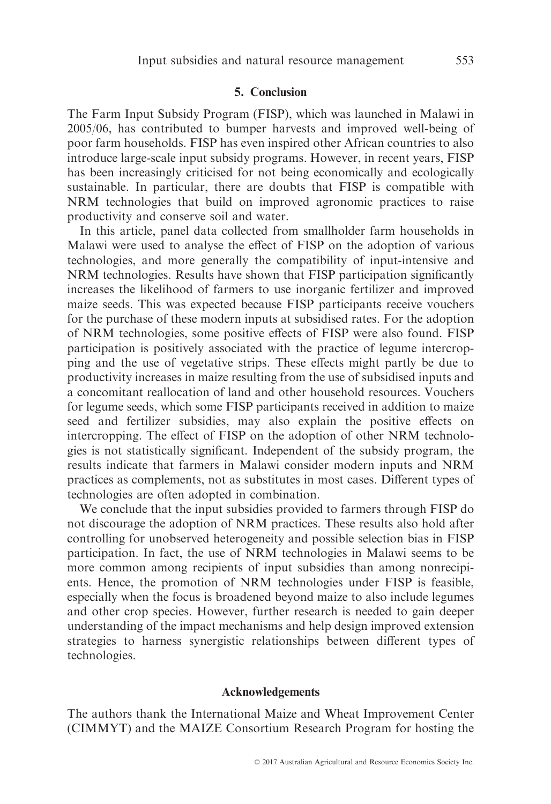#### 5. Conclusion

The Farm Input Subsidy Program (FISP), which was launched in Malawi in 2005/06, has contributed to bumper harvests and improved well-being of poor farm households. FISP has even inspired other African countries to also introduce large-scale input subsidy programs. However, in recent years, FISP has been increasingly criticised for not being economically and ecologically sustainable. In particular, there are doubts that FISP is compatible with NRM technologies that build on improved agronomic practices to raise productivity and conserve soil and water.

In this article, panel data collected from smallholder farm households in Malawi were used to analyse the effect of FISP on the adoption of various technologies, and more generally the compatibility of input-intensive and NRM technologies. Results have shown that FISP participation significantly increases the likelihood of farmers to use inorganic fertilizer and improved maize seeds. This was expected because FISP participants receive vouchers for the purchase of these modern inputs at subsidised rates. For the adoption of NRM technologies, some positive effects of FISP were also found. FISP participation is positively associated with the practice of legume intercropping and the use of vegetative strips. These effects might partly be due to productivity increases in maize resulting from the use of subsidised inputs and a concomitant reallocation of land and other household resources. Vouchers for legume seeds, which some FISP participants received in addition to maize seed and fertilizer subsidies, may also explain the positive effects on intercropping. The effect of FISP on the adoption of other NRM technologies is not statistically significant. Independent of the subsidy program, the results indicate that farmers in Malawi consider modern inputs and NRM practices as complements, not as substitutes in most cases. Different types of technologies are often adopted in combination.

We conclude that the input subsidies provided to farmers through FISP do not discourage the adoption of NRM practices. These results also hold after controlling for unobserved heterogeneity and possible selection bias in FISP participation. In fact, the use of NRM technologies in Malawi seems to be more common among recipients of input subsidies than among nonrecipients. Hence, the promotion of NRM technologies under FISP is feasible, especially when the focus is broadened beyond maize to also include legumes and other crop species. However, further research is needed to gain deeper understanding of the impact mechanisms and help design improved extension strategies to harness synergistic relationships between different types of technologies.

## Acknowledgements

The authors thank the International Maize and Wheat Improvement Center (CIMMYT) and the MAIZE Consortium Research Program for hosting the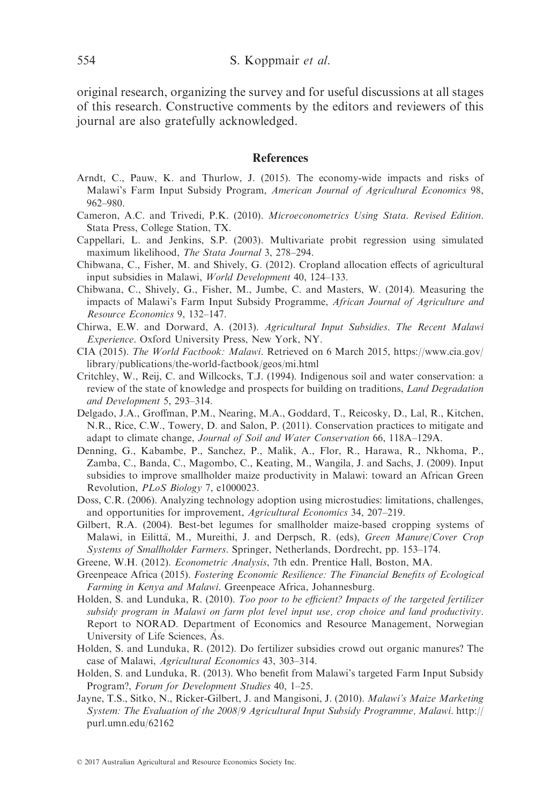original research, organizing the survey and for useful discussions at all stages of this research. Constructive comments by the editors and reviewers of this journal are also gratefully acknowledged.

#### **References**

- Arndt, C., Pauw, K. and Thurlow, J. (2015). The economy-wide impacts and risks of Malawi's Farm Input Subsidy Program, American Journal of Agricultural Economics 98, 962–980.
- Cameron, A.C. and Trivedi, P.K. (2010). Microeconometrics Using Stata. Revised Edition. Stata Press, College Station, TX.
- Cappellari, L. and Jenkins, S.P. (2003). Multivariate probit regression using simulated maximum likelihood, The Stata Journal 3, 278–294.
- Chibwana, C., Fisher, M. and Shively, G. (2012). Cropland allocation effects of agricultural input subsidies in Malawi, World Development 40, 124–133.
- Chibwana, C., Shively, G., Fisher, M., Jumbe, C. and Masters, W. (2014). Measuring the impacts of Malawi's Farm Input Subsidy Programme, African Journal of Agriculture and Resource Economics 9, 132–147.
- Chirwa, E.W. and Dorward, A. (2013). Agricultural Input Subsidies. The Recent Malawi Experience. Oxford University Press, New York, NY.
- CIA (2015). The World Factbook: Malawi. Retrieved on 6 March 2015, [https://www.cia.gov/](https://www.cia.gov/library/publications/the-world-factbook/geos/mi.html) [library/publications/the-world-factbook/geos/mi.html](https://www.cia.gov/library/publications/the-world-factbook/geos/mi.html)
- Critchley, W., Reij, C. and Willcocks, T.J. (1994). Indigenous soil and water conservation: a review of the state of knowledge and prospects for building on traditions, Land Degradation and Development 5, 293–314.
- Delgado, J.A., Groffman, P.M., Nearing, M.A., Goddard, T., Reicosky, D., Lal, R., Kitchen, N.R., Rice, C.W., Towery, D. and Salon, P. (2011). Conservation practices to mitigate and adapt to climate change, Journal of Soil and Water Conservation 66, 118A–129A.
- Denning, G., Kabambe, P., Sanchez, P., Malik, A., Flor, R., Harawa, R., Nkhoma, P., Zamba, C., Banda, C., Magombo, C., Keating, M., Wangila, J. and Sachs, J. (2009). Input subsidies to improve smallholder maize productivity in Malawi: toward an African Green Revolution, PLoS Biology 7, e1000023.
- Doss, C.R. (2006). Analyzing technology adoption using microstudies: limitations, challenges, and opportunities for improvement, Agricultural Economics 34, 207–219.
- Gilbert, R.A. (2004). Best-bet legumes for smallholder maize-based cropping systems of Malawi, in Eilittä, M., Mureithi, J. and Derpsch, R. (eds), Green Manure/Cover Crop Systems of Smallholder Farmers. Springer, Netherlands, Dordrecht, pp. 153–174.
- Greene, W.H. (2012). Econometric Analysis, 7th edn. Prentice Hall, Boston, MA.
- Greenpeace Africa (2015). Fostering Economic Resilience: The Financial Benefits of Ecological Farming in Kenya and Malawi. Greenpeace Africa, Johannesburg.
- Holden, S. and Lunduka, R. (2010). Too poor to be efficient? Impacts of the targeted fertilizer subsidy program in Malawi on farm plot level input use, crop choice and land productivity. Report to NORAD. Department of Economics and Resource Management, Norwegian University of Life Sciences, As.
- Holden, S. and Lunduka, R. (2012). Do fertilizer subsidies crowd out organic manures? The case of Malawi, Agricultural Economics 43, 303–314.
- Holden, S. and Lunduka, R. (2013). Who benefit from Malawi's targeted Farm Input Subsidy Program?, Forum for Development Studies 40, 1–25.
- Jayne, T.S., Sitko, N., Ricker-Gilbert, J. and Mangisoni, J. (2010). Malawi's Maize Marketing System: The Evaluation of the 2008/9 Agricultural Input Subsidy Programme, Malawi. [http://](http://purl.umn.edu/62162) [purl.umn.edu/62162](http://purl.umn.edu/62162)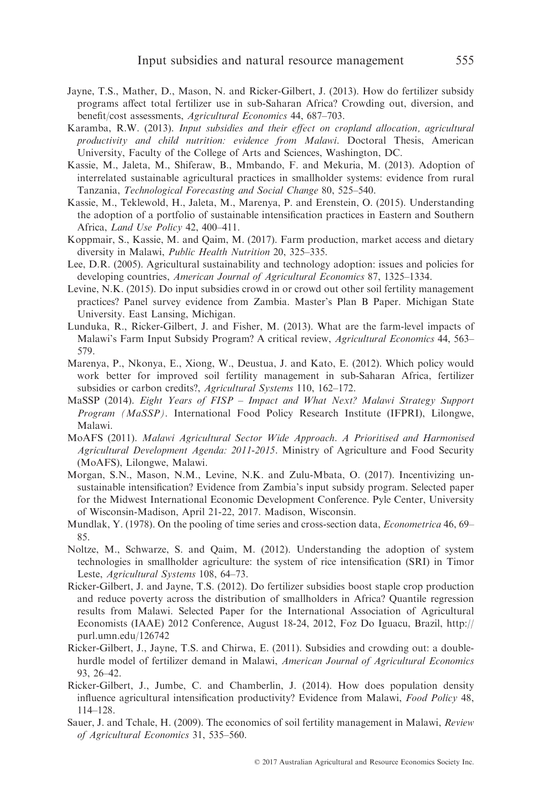- Jayne, T.S., Mather, D., Mason, N. and Ricker-Gilbert, J. (2013). How do fertilizer subsidy programs affect total fertilizer use in sub-Saharan Africa? Crowding out, diversion, and benefit/cost assessments, Agricultural Economics 44, 687–703.
- Karamba, R.W. (2013). Input subsidies and their effect on cropland allocation, agricultural productivity and child nutrition: evidence from Malawi. Doctoral Thesis, American University, Faculty of the College of Arts and Sciences, Washington, DC.
- Kassie, M., Jaleta, M., Shiferaw, B., Mmbando, F. and Mekuria, M. (2013). Adoption of interrelated sustainable agricultural practices in smallholder systems: evidence from rural Tanzania, Technological Forecasting and Social Change 80, 525–540.
- Kassie, M., Teklewold, H., Jaleta, M., Marenya, P. and Erenstein, O. (2015). Understanding the adoption of a portfolio of sustainable intensification practices in Eastern and Southern Africa, Land Use Policy 42, 400–411.
- Koppmair, S., Kassie, M. and Qaim, M. (2017). Farm production, market access and dietary diversity in Malawi, Public Health Nutrition 20, 325–335.
- Lee, D.R. (2005). Agricultural sustainability and technology adoption: issues and policies for developing countries, American Journal of Agricultural Economics 87, 1325–1334.
- Levine, N.K. (2015). Do input subsidies crowd in or crowd out other soil fertility management practices? Panel survey evidence from Zambia. Master's Plan B Paper. Michigan State University. East Lansing, Michigan.
- Lunduka, R., Ricker-Gilbert, J. and Fisher, M. (2013). What are the farm-level impacts of Malawi's Farm Input Subsidy Program? A critical review, Agricultural Economics 44, 563– 579.
- Marenya, P., Nkonya, E., Xiong, W., Deustua, J. and Kato, E. (2012). Which policy would work better for improved soil fertility management in sub-Saharan Africa, fertilizer subsidies or carbon credits?, Agricultural Systems 110, 162–172.
- MaSSP (2014). Eight Years of FISP Impact and What Next? Malawi Strategy Support Program (MaSSP). International Food Policy Research Institute (IFPRI), Lilongwe, Malawi.
- MoAFS (2011). Malawi Agricultural Sector Wide Approach. A Prioritised and Harmonised Agricultural Development Agenda: 2011-2015. Ministry of Agriculture and Food Security (MoAFS), Lilongwe, Malawi.
- Morgan, S.N., Mason, N.M., Levine, N.K. and Zulu-Mbata, O. (2017). Incentivizing unsustainable intensification? Evidence from Zambia's input subsidy program. Selected paper for the Midwest International Economic Development Conference. Pyle Center, University of Wisconsin-Madison, April 21-22, 2017. Madison, Wisconsin.
- Mundlak, Y. (1978). On the pooling of time series and cross-section data, *Econometrica* 46, 69– 85.
- Noltze, M., Schwarze, S. and Qaim, M. (2012). Understanding the adoption of system technologies in smallholder agriculture: the system of rice intensification (SRI) in Timor Leste, Agricultural Systems 108, 64–73.
- Ricker-Gilbert, J. and Jayne, T.S. (2012). Do fertilizer subsidies boost staple crop production and reduce poverty across the distribution of smallholders in Africa? Quantile regression results from Malawi. Selected Paper for the International Association of Agricultural Economists (IAAE) 2012 Conference, August 18-24, 2012, Foz Do Iguacu, Brazil, [http://](http://purl.umn.edu/126742) [purl.umn.edu/126742](http://purl.umn.edu/126742)
- Ricker-Gilbert, J., Jayne, T.S. and Chirwa, E. (2011). Subsidies and crowding out: a doublehurdle model of fertilizer demand in Malawi, American Journal of Agricultural Economics 93, 26–42.
- Ricker-Gilbert, J., Jumbe, C. and Chamberlin, J. (2014). How does population density influence agricultural intensification productivity? Evidence from Malawi, Food Policy 48, 114–128.
- Sauer, J. and Tchale, H. (2009). The economics of soil fertility management in Malawi, Review of Agricultural Economics 31, 535–560.